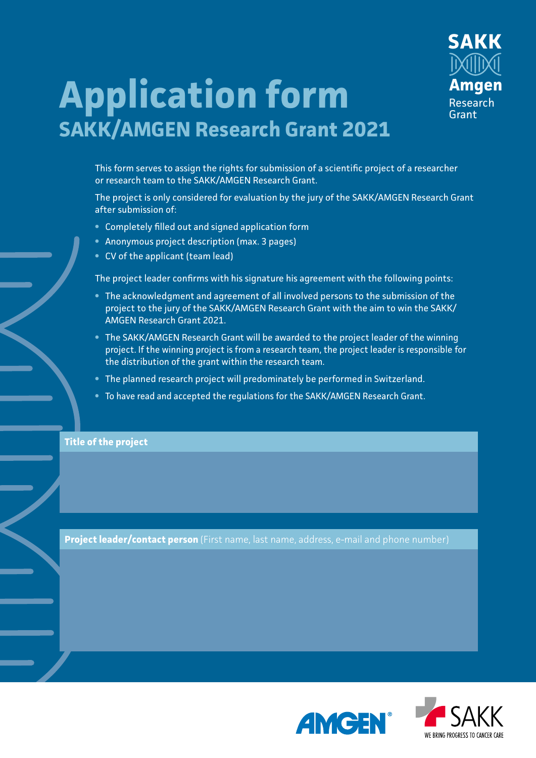

## **Application form SAKK/AMGEN Research Grant 2021**

This form serves to assign the rights for submission of a scientific project of a researcher or research team to the SAKK/AMGEN Research Grant.

The project is only considered for evaluation by the jury of the SAKK/AMGEN Research Grant after submission of:

- **•** Completely filled out and signed application form
- **•** Anonymous project description (max. 3 pages)
- **•** CV of the applicant (team lead)

The project leader confirms with his signature his agreement with the following points:

- **•** The acknowledgment and agreement of all involved persons to the submission of the project to the jury of the SAKK/AMGEN Research Grant with the aim to win the SAKK/ AMGEN Research Grant 2021.
- **•** The SAKK/AMGEN Research Grant will be awarded to the project leader of the winning project. If the winning project is from a research team, the project leader is responsible for the distribution of the grant within the research team.
- **•** The planned research project will predominately be performed in Switzerland.
- **•** To have read and accepted the regulations for the SAKK/AMGEN Research Grant.

**Title of the project**

**Project leader/contact person** (First name, last name, address, e-mail and phone number)